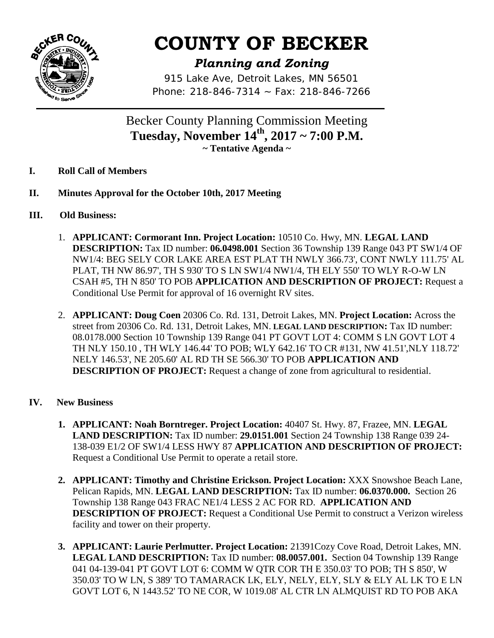

# **COUNTY OF BECKER**

# *Planning and Zoning*

*915 Lake Ave, Detroit Lakes, MN 56501 Phone: 218-846-7314 ~ Fax: 218-846-7266*

Becker County Planning Commission Meeting **Tuesday, November 14th, 2017 ~ 7:00 P.M. ~ Tentative Agenda ~** 

- **I. Roll Call of Members**
- **II. Minutes Approval for the October 10th, 2017 Meeting**
- **III. Old Business:** 
	- 1. **APPLICANT: Cormorant Inn. Project Location:** 10510 Co. Hwy, MN. **LEGAL LAND DESCRIPTION:** Tax ID number: **06.0498.001** Section 36 Township 139 Range 043 PT SW1/4 OF NW1/4: BEG SELY COR LAKE AREA EST PLAT TH NWLY 366.73', CONT NWLY 111.75' AL PLAT, TH NW 86.97', TH S 930' TO S LN SW1/4 NW1/4, TH ELY 550' TO WLY R-O-W LN CSAH #5, TH N 850' TO POB **APPLICATION AND DESCRIPTION OF PROJECT:** Request a Conditional Use Permit for approval of 16 overnight RV sites.
	- 2. **APPLICANT: Doug Coen** 20306 Co. Rd. 131, Detroit Lakes, MN. **Project Location:** Across the street from 20306 Co. Rd. 131, Detroit Lakes, MN. **LEGAL LAND DESCRIPTION:** Tax ID number: 08.0178.000 Section 10 Township 139 Range 041 PT GOVT LOT 4: COMM S LN GOVT LOT 4 TH NLY 150.10 , TH WLY 146.44' TO POB; WLY 642.16' TO CR #131, NW 41.51',NLY 118.72' NELY 146.53', NE 205.60' AL RD TH SE 566.30' TO POB **APPLICATION AND DESCRIPTION OF PROJECT:** Request a change of zone from agricultural to residential.
- **IV. New Business**
	- **1. APPLICANT: Noah Borntreger. Project Location:** 40407 St. Hwy. 87, Frazee, MN. **LEGAL LAND DESCRIPTION:** Tax ID number: **29.0151.001** Section 24 Township 138 Range 039 24- 138-039 E1/2 OF SW1/4 LESS HWY 87 **APPLICATION AND DESCRIPTION OF PROJECT:**  Request a Conditional Use Permit to operate a retail store.
	- **2. APPLICANT: Timothy and Christine Erickson. Project Location:** XXX Snowshoe Beach Lane, Pelican Rapids, MN. **LEGAL LAND DESCRIPTION:** Tax ID number: **06.0370.000.** Section 26 Township 138 Range 043 FRAC NE1/4 LESS 2 AC FOR RD. **APPLICATION AND DESCRIPTION OF PROJECT:** Request a Conditional Use Permit to construct a Verizon wireless facility and tower on their property.
	- **3. APPLICANT: Laurie Perlmutter. Project Location:** 21391Cozy Cove Road, Detroit Lakes, MN. **LEGAL LAND DESCRIPTION:** Tax ID number: **08.0057.001.** Section 04 Township 139 Range 041 04-139-041 PT GOVT LOT 6: COMM W QTR COR TH E 350.03' TO POB; TH S 850', W 350.03' TO W LN, S 389' TO TAMARACK LK, ELY, NELY, ELY, SLY & ELY AL LK TO E LN GOVT LOT 6, N 1443.52' TO NE COR, W 1019.08' AL CTR LN ALMQUIST RD TO POB AKA